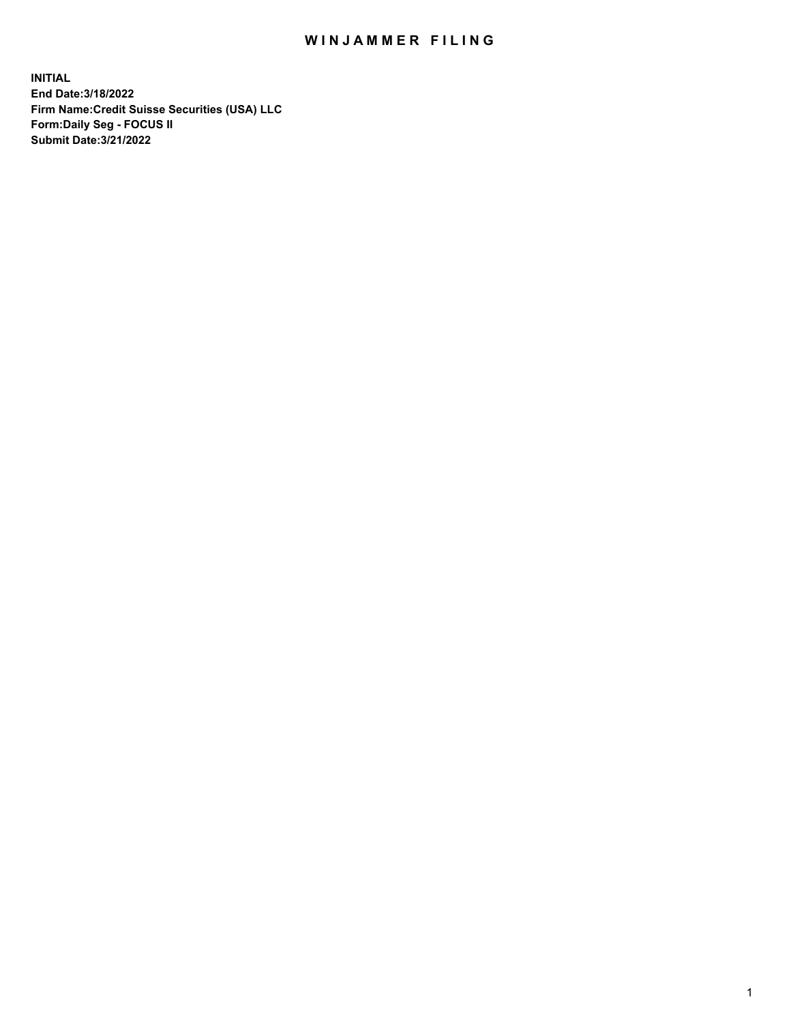## WIN JAMMER FILING

**INITIAL End Date:3/18/2022 Firm Name:Credit Suisse Securities (USA) LLC Form:Daily Seg - FOCUS II Submit Date:3/21/2022**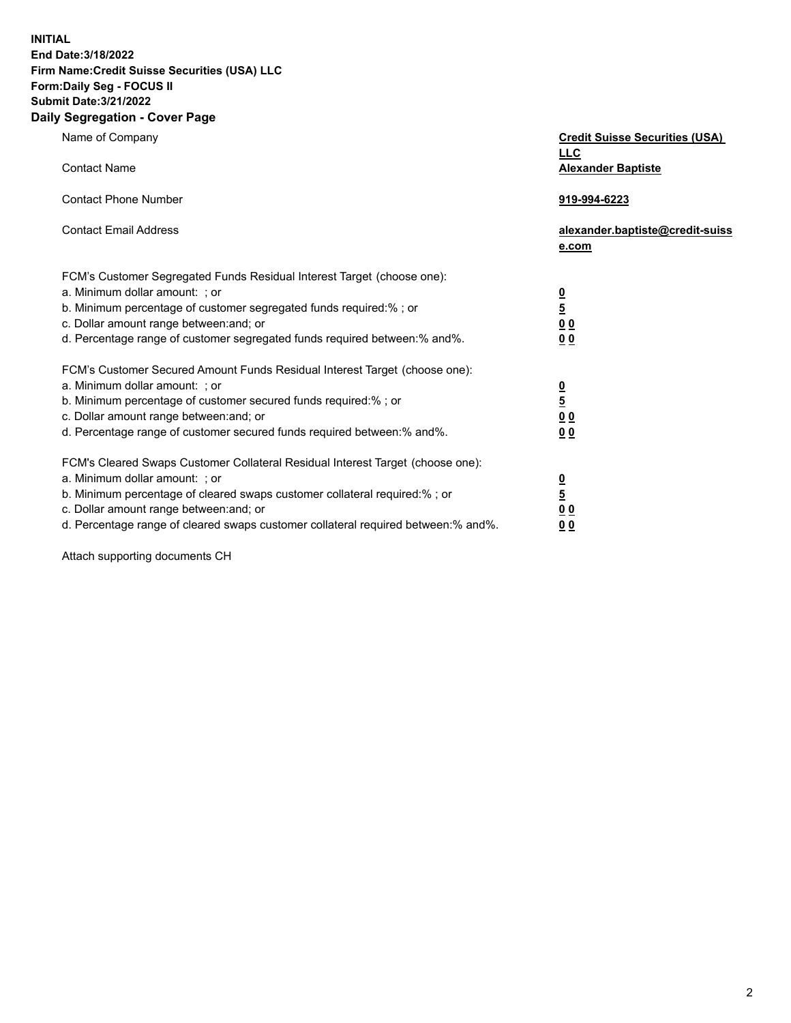**INITIAL End Date:3/18/2022** 

## **Firm Name:Credit Suisse Securities (USA) LLC Form:Daily Seg - FOCUS II Submit Date:3/21/2022**

## **Daily Segregation - Cover Page**

| Name of Company                                                                                                                                                                                                                                                                                                                | <b>Credit Suisse Securities (USA)</b><br><b>LLC</b>                |
|--------------------------------------------------------------------------------------------------------------------------------------------------------------------------------------------------------------------------------------------------------------------------------------------------------------------------------|--------------------------------------------------------------------|
| <b>Contact Name</b>                                                                                                                                                                                                                                                                                                            | <b>Alexander Baptiste</b>                                          |
| <b>Contact Phone Number</b>                                                                                                                                                                                                                                                                                                    | 919-994-6223                                                       |
| <b>Contact Email Address</b>                                                                                                                                                                                                                                                                                                   | alexander.baptiste@credit-suiss<br>e.com                           |
| FCM's Customer Segregated Funds Residual Interest Target (choose one):<br>a. Minimum dollar amount: ; or<br>b. Minimum percentage of customer segregated funds required:% ; or<br>c. Dollar amount range between: and; or<br>d. Percentage range of customer segregated funds required between:% and%.                         | $\frac{0}{\frac{5}{0}}$<br>0 <sub>0</sub>                          |
| FCM's Customer Secured Amount Funds Residual Interest Target (choose one):<br>a. Minimum dollar amount: ; or<br>b. Minimum percentage of customer secured funds required:%; or<br>c. Dollar amount range between: and; or<br>d. Percentage range of customer secured funds required between:% and%.                            | $\frac{0}{5}$<br>$\underline{0}$ $\underline{0}$<br>0 <sub>0</sub> |
| FCM's Cleared Swaps Customer Collateral Residual Interest Target (choose one):<br>a. Minimum dollar amount: ; or<br>b. Minimum percentage of cleared swaps customer collateral required:% ; or<br>c. Dollar amount range between: and; or<br>d. Percentage range of cleared swaps customer collateral required between:% and%. | $\frac{0}{5}$<br>0 <sub>0</sub><br>0 <sub>0</sub>                  |

Attach supporting documents CH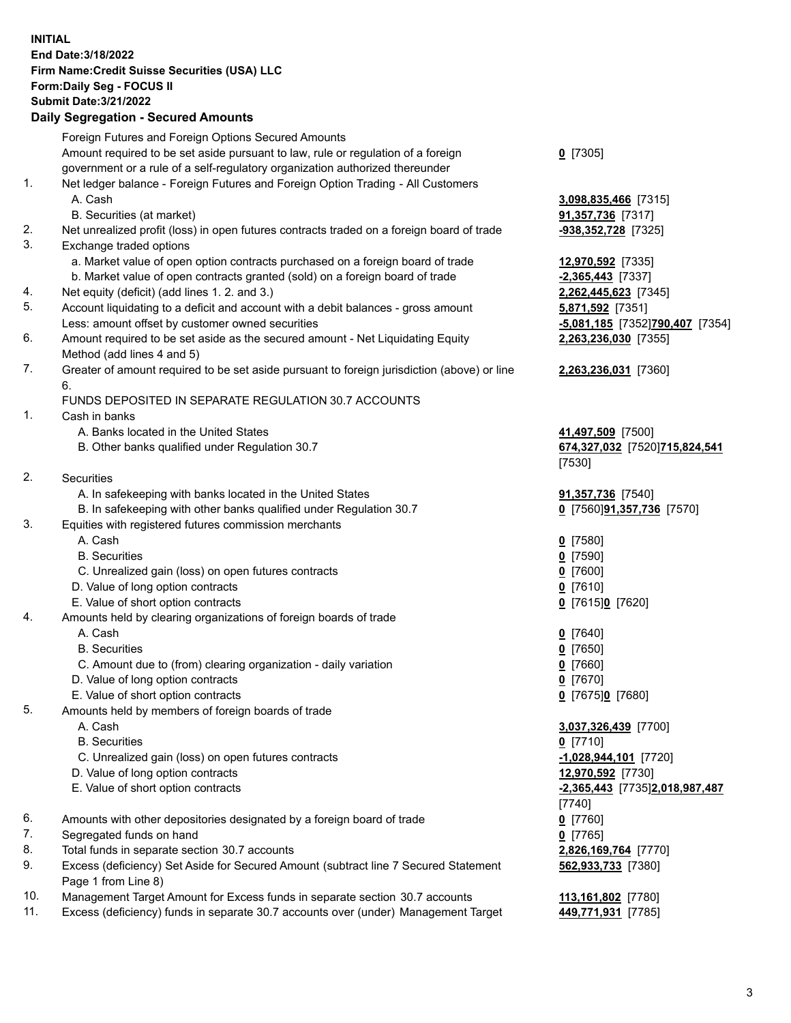**INITIAL End Date:3/18/2022 Firm Name:Credit Suisse Securities (USA) LLC Form:Daily Seg - FOCUS II Submit Date:3/21/2022** 

## **Daily Segregation - Secured Amounts**

|     | Foreign Futures and Foreign Options Secured Amounts                                         |                                 |
|-----|---------------------------------------------------------------------------------------------|---------------------------------|
|     | Amount required to be set aside pursuant to law, rule or regulation of a foreign            | $0$ [7305]                      |
|     | government or a rule of a self-regulatory organization authorized thereunder                |                                 |
| 1.  | Net ledger balance - Foreign Futures and Foreign Option Trading - All Customers             |                                 |
|     | A. Cash                                                                                     | 3,098,835,466 [7315]            |
|     | B. Securities (at market)                                                                   | 91,357,736 [7317]               |
| 2.  | Net unrealized profit (loss) in open futures contracts traded on a foreign board of trade   | -938,352,728 [7325]             |
| 3.  | Exchange traded options                                                                     |                                 |
|     | a. Market value of open option contracts purchased on a foreign board of trade              | 12,970,592 [7335]               |
|     | b. Market value of open contracts granted (sold) on a foreign board of trade                | $-2,365,443$ [7337]             |
| 4.  | Net equity (deficit) (add lines 1. 2. and 3.)                                               | 2,262,445,623 [7345]            |
| 5.  | Account liquidating to a deficit and account with a debit balances - gross amount           | 5,871,592 [7351]                |
|     | Less: amount offset by customer owned securities                                            | -5,081,185 [7352]790,407 [7354] |
| 6.  | Amount required to be set aside as the secured amount - Net Liquidating Equity              | 2,263,236,030 [7355]            |
|     | Method (add lines 4 and 5)                                                                  |                                 |
| 7.  | Greater of amount required to be set aside pursuant to foreign jurisdiction (above) or line | 2,263,236,031 [7360]            |
|     | 6.                                                                                          |                                 |
|     | FUNDS DEPOSITED IN SEPARATE REGULATION 30.7 ACCOUNTS                                        |                                 |
| 1.  | Cash in banks                                                                               |                                 |
|     | A. Banks located in the United States                                                       | 41,497,509 [7500]               |
|     | B. Other banks qualified under Regulation 30.7                                              | 674,327,032 [7520]715,824,541   |
|     |                                                                                             | [7530]                          |
| 2.  | <b>Securities</b>                                                                           |                                 |
|     | A. In safekeeping with banks located in the United States                                   | 91,357,736 [7540]               |
|     | B. In safekeeping with other banks qualified under Regulation 30.7                          | 0 [7560]91,357,736 [7570]       |
| 3.  | Equities with registered futures commission merchants                                       |                                 |
|     | A. Cash                                                                                     | $0$ [7580]                      |
|     | <b>B.</b> Securities                                                                        | $0$ [7590]                      |
|     | C. Unrealized gain (loss) on open futures contracts                                         | $0$ [7600]                      |
|     | D. Value of long option contracts                                                           | $0$ [7610]                      |
|     | E. Value of short option contracts                                                          | 0 [7615]0 [7620]                |
| 4.  | Amounts held by clearing organizations of foreign boards of trade                           |                                 |
|     | A. Cash                                                                                     | $0$ [7640]                      |
|     | <b>B.</b> Securities                                                                        | $0$ [7650]                      |
|     | C. Amount due to (from) clearing organization - daily variation                             | $Q$ [7660]                      |
|     | D. Value of long option contracts                                                           | $0$ [7670]                      |
|     | E. Value of short option contracts                                                          | 0 [7675]0 [7680]                |
| 5.  | Amounts held by members of foreign boards of trade                                          |                                 |
|     | A. Cash                                                                                     | 3,037,326,439 [7700]            |
|     | <b>B.</b> Securities                                                                        | $0$ [7710]                      |
|     | C. Unrealized gain (loss) on open futures contracts                                         | $-1,028,944,101$ [7720]         |
|     | D. Value of long option contracts                                                           | 12,970,592 [7730]               |
|     | E. Value of short option contracts                                                          | -2,365,443 [7735]2,018,987,487  |
|     |                                                                                             | [7740]                          |
| 6.  | Amounts with other depositories designated by a foreign board of trade                      | $0$ [7760]                      |
| 7.  | Segregated funds on hand                                                                    | $0$ [7765]                      |
| 8.  | Total funds in separate section 30.7 accounts                                               | 2,826,169,764 [7770]            |
| 9.  | Excess (deficiency) Set Aside for Secured Amount (subtract line 7 Secured Statement         | 562,933,733 [7380]              |
|     | Page 1 from Line 8)                                                                         |                                 |
| 10. | Management Target Amount for Excess funds in separate section 30.7 accounts                 | 113,161,802 [7780]              |
| 11. | Excess (deficiency) funds in separate 30.7 accounts over (under) Management Target          | 449,771,931 [7785]              |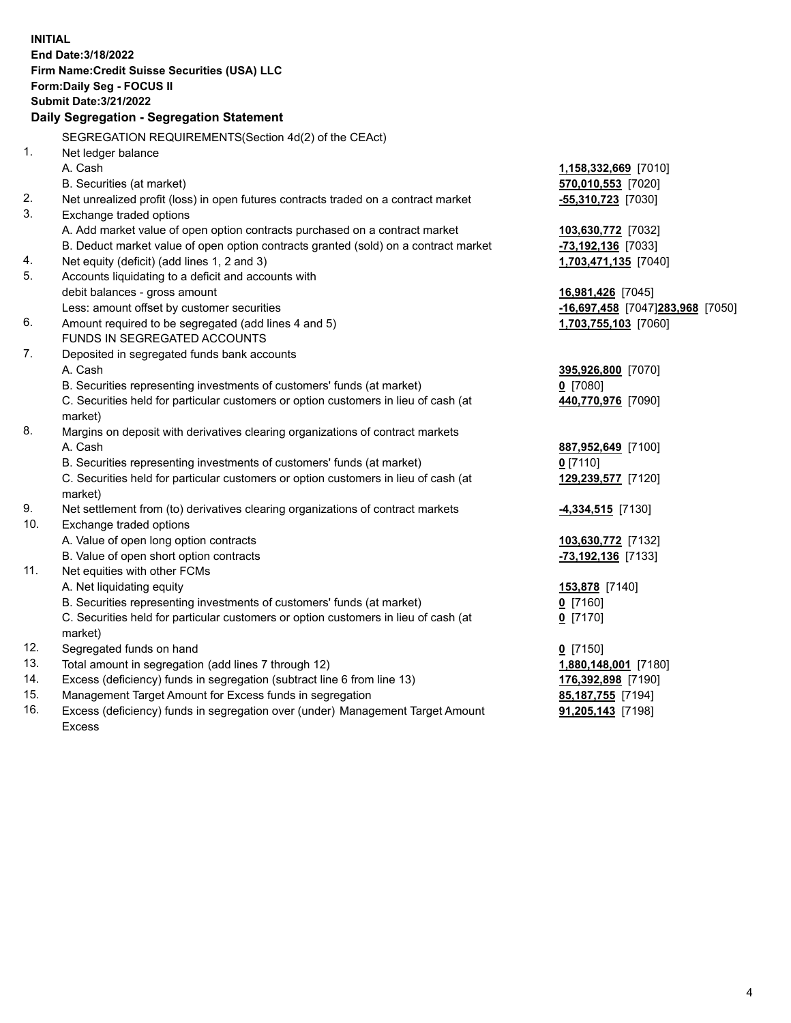| <b>INITIAL</b> | End Date: 3/18/2022<br>Firm Name: Credit Suisse Securities (USA) LLC<br>Form: Daily Seg - FOCUS II<br><b>Submit Date: 3/21/2022</b><br>Daily Segregation - Segregation Statement |                                  |
|----------------|----------------------------------------------------------------------------------------------------------------------------------------------------------------------------------|----------------------------------|
|                | SEGREGATION REQUIREMENTS(Section 4d(2) of the CEAct)                                                                                                                             |                                  |
| 1.             | Net ledger balance                                                                                                                                                               |                                  |
|                | A. Cash                                                                                                                                                                          | 1,158,332,669 [7010]             |
|                | B. Securities (at market)                                                                                                                                                        | 570,010,553 [7020]               |
| 2.             | Net unrealized profit (loss) in open futures contracts traded on a contract market                                                                                               | $-55,310,723$ [7030]             |
| 3.             | Exchange traded options                                                                                                                                                          |                                  |
|                | A. Add market value of open option contracts purchased on a contract market                                                                                                      | 103,630,772 [7032]               |
|                | B. Deduct market value of open option contracts granted (sold) on a contract market                                                                                              | -73,192,136 [7033]               |
| 4.             | Net equity (deficit) (add lines 1, 2 and 3)                                                                                                                                      | 1,703,471,135 [7040]             |
| 5.             | Accounts liquidating to a deficit and accounts with                                                                                                                              |                                  |
|                | debit balances - gross amount                                                                                                                                                    | 16,981,426 [7045]                |
|                | Less: amount offset by customer securities                                                                                                                                       | -16,697,458 [7047]283,968 [7050] |
| 6.             | Amount required to be segregated (add lines 4 and 5)                                                                                                                             | 1,703,755,103 [7060]             |
|                | FUNDS IN SEGREGATED ACCOUNTS                                                                                                                                                     |                                  |
| 7.             | Deposited in segregated funds bank accounts                                                                                                                                      |                                  |
|                | A. Cash                                                                                                                                                                          | 395,926,800 [7070]               |
|                | B. Securities representing investments of customers' funds (at market)                                                                                                           | $0$ [7080]                       |
|                | C. Securities held for particular customers or option customers in lieu of cash (at                                                                                              | 440,770,976 [7090]               |
|                | market)                                                                                                                                                                          |                                  |
| 8.             | Margins on deposit with derivatives clearing organizations of contract markets                                                                                                   |                                  |
|                | A. Cash                                                                                                                                                                          | 887,952,649 [7100]               |
|                | B. Securities representing investments of customers' funds (at market)                                                                                                           | $0$ [7110]                       |
|                | C. Securities held for particular customers or option customers in lieu of cash (at                                                                                              | 129,239,577 [7120]               |
|                | market)                                                                                                                                                                          |                                  |
| 9.<br>10.      | Net settlement from (to) derivatives clearing organizations of contract markets                                                                                                  | <b>4,334,515</b> [7130]          |
|                | Exchange traded options                                                                                                                                                          |                                  |
|                | A. Value of open long option contracts<br>B. Value of open short option contracts                                                                                                | 103,630,772 [7132]               |
| 11.            | Net equities with other FCMs                                                                                                                                                     | -73,192,136 [7133]               |
|                | A. Net liquidating equity                                                                                                                                                        | 153,878 [7140]                   |
|                | B. Securities representing investments of customers' funds (at market)                                                                                                           | $0$ [7160]                       |
|                | C. Securities held for particular customers or option customers in lieu of cash (at                                                                                              | $0$ [7170]                       |
|                | market)                                                                                                                                                                          |                                  |
| 12.            | Segregated funds on hand                                                                                                                                                         | $0$ [7150]                       |
| 13.            | Total amount in segregation (add lines 7 through 12)                                                                                                                             | 1,880,148,001 [7180]             |
| 14.            | Excess (deficiency) funds in segregation (subtract line 6 from line 13)                                                                                                          | 176,392,898 [7190]               |
| 15.            | Management Target Amount for Excess funds in segregation                                                                                                                         | 85,187,755 [7194]                |
| 16.            | Excess (deficiency) funds in segregation over (under) Management Target Amount                                                                                                   | 91,205,143 [7198]                |
|                | <b>Excess</b>                                                                                                                                                                    |                                  |